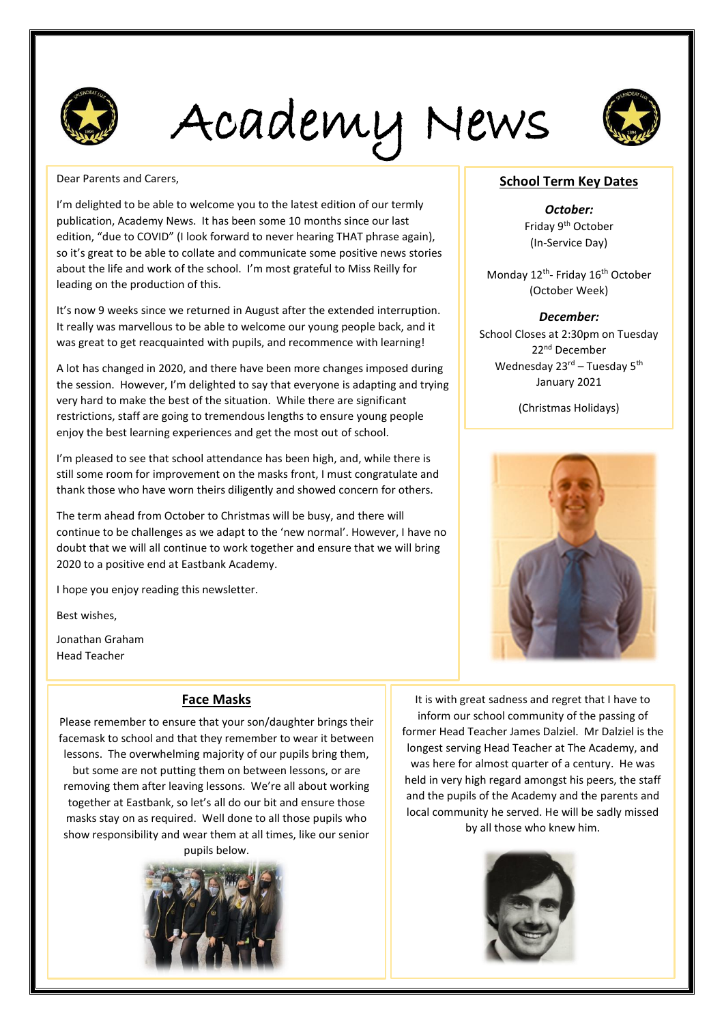

Academy News



Dear Parents and Carers,

I'm delighted to be able to welcome you to the latest edition of our termly publication, Academy News. It has been some 10 months since our last edition, "due to COVID" (I look forward to never hearing THAT phrase again), so it's great to be able to collate and communicate some positive news stories about the life and work of the school. I'm most grateful to Miss Reilly for leading on the production of this.

It's now 9 weeks since we returned in August after the extended interruption. It really was marvellous to be able to welcome our young people back, and it was great to get reacquainted with pupils, and recommence with learning!

A lot has changed in 2020, and there have been more changes imposed during the session. However, I'm delighted to say that everyone is adapting and trying very hard to make the best of the situation. While there are significant restrictions, staff are going to tremendous lengths to ensure young people enjoy the best learning experiences and get the most out of school.

I'm pleased to see that school attendance has been high, and, while there is still some room for improvement on the masks front, I must congratulate and thank those who have worn theirs diligently and showed concern for others.

The term ahead from October to Christmas will be busy, and there will continue to be challenges as we adapt to the 'new normal'. However, I have no doubt that we will all continue to work together and ensure that we will bring 2020 to a positive end at Eastbank Academy.

I hope you enjoy reading this newsletter.

Best wishes,

Jonathan Graham Head Teacher

#### **Face Masks**

Please remember to ensure that your son/daughter brings their facemask to school and that they remember to wear it between lessons. The overwhelming majority of our pupils bring them, but some are not putting them on between lessons, or are removing them after leaving lessons. We're all about working together at Eastbank, so let's all do our bit and ensure those masks stay on as required. Well done to all those pupils who show responsibility and wear them at all times, like our senior pupils below.



**School Term Key Dates**

*October:* Friday 9th October (In-Service Day)

Monday 12<sup>th</sup>- Friday 16<sup>th</sup> October (October Week)

#### *December:*

School Closes at 2:30pm on Tuesday 22nd December Wednesday 23<sup>rd</sup> – Tuesday 5<sup>th</sup> January 2021

(Christmas Holidays)



It is with great sadness and regret that I have to inform our school community of the passing of former Head Teacher James Dalziel. Mr Dalziel is the longest serving Head Teacher at The Academy, and was here for almost quarter of a century. He was held in very high regard amongst his peers, the staff and the pupils of the Academy and the parents and local community he served. He will be sadly missed by all those who knew him.

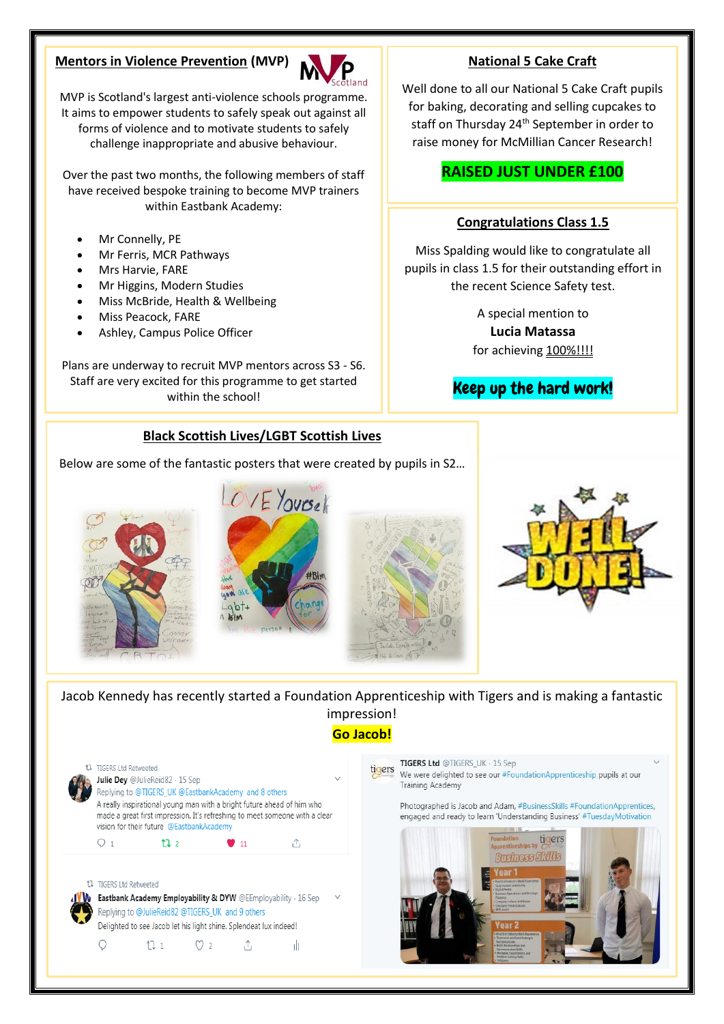#### **Mentors in Violence Prevention (MVP)**



MVP is Scotland's largest anti-violence schools programme. It aims to empower students to safely speak out against all forms of violence and to motivate students to safely challenge inappropriate and abusive behaviour.

Over the past two months, the following members of staff have received bespoke training to become MVP trainers within Eastbank Academy:

- Mr Connelly, PE
- Mr Ferris, MCR Pathways
- Mrs Harvie, FARE
- Mr Higgins, Modern Studies
- Miss McBride, Health & Wellbeing
- Miss Peacock, FARE
- Ashley, Campus Police Officer

Plans are underway to recruit MVP mentors across S3 - S6. Staff are very excited for this programme to get started within the school!

### **Black Scottish Lives/LGBT Scottish Lives**

Below are some of the fantastic posters that were created by pupils in S2…





Jacob Kennedy has recently started a Foundation Apprenticeship with Tigers and is making a fantastic impression!

**Go Jacob!**



∩  $111$  $\circ$  2 A 1Ì

#### TIGERS Ltd @TIGERS\_UK · 15 Sep tigers We were delighted to see our #FoundationApprenticeship pupils at our Training Academy

Photographed is Jacob and Adam, #BusinessSkills #FoundationApprentices, engaged and ready to learn 'Understanding Business' #TuesdayMotivation



#### **National 5 Cake Craft**

Well done to all our National 5 Cake Craft pupils for baking, decorating and selling cupcakes to staff on Thursday 24<sup>th</sup> September in order to raise money for McMillian Cancer Research!

# **RAISED JUST UNDER £100**

#### **Congratulations Class 1.5**

Miss Spalding would like to congratulate all pupils in class 1.5 for their outstanding effort in the recent Science Safety test.

> A special mention to **Lucia Matassa** for achieving 100%!!!!

# Keep up the hard work!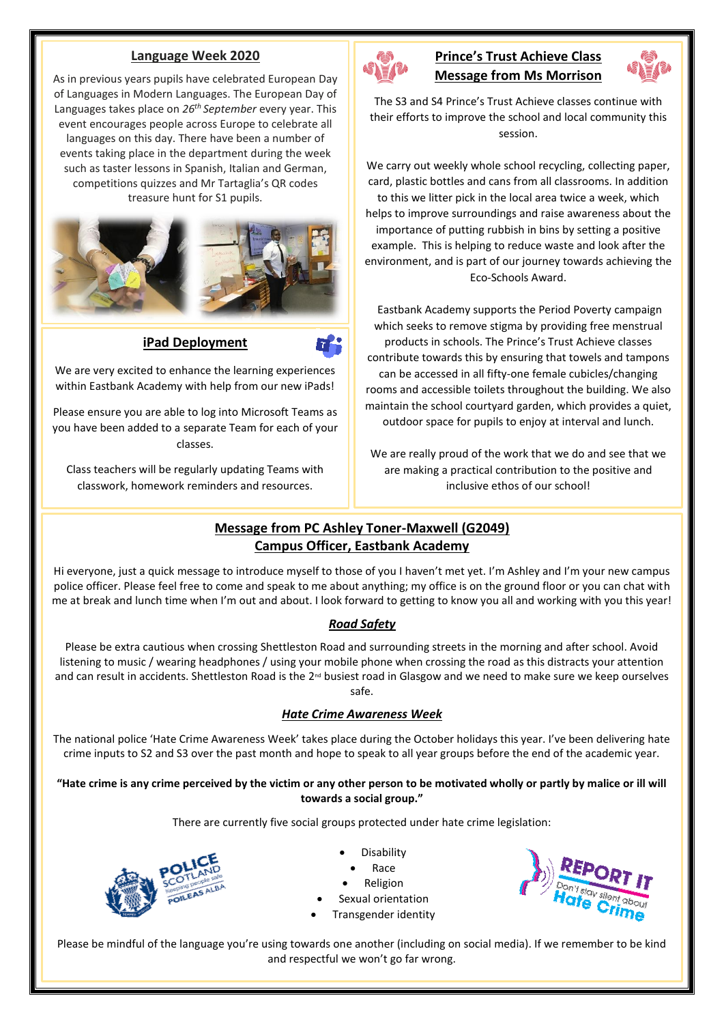#### **Language Week 2020**

As in previous years pupils have celebrated European Day of Languages in Modern Languages. The European Day of Languages takes place on *26th September* every year. This event encourages people across Europe to celebrate all languages on this day. There have been a number of events taking place in the department during the week such as taster lessons in Spanish, Italian and German, competitions quizzes and Mr Tartaglia's QR codes treasure hunt for S1 pupils.



#### **iPad Deployment**

We are very excited to enhance the learning experiences within Eastbank Academy with help from our new iPads!

Please ensure you are able to log into Microsoft Teams as you have been added to a separate Team for each of your classes.

Class teachers will be regularly updating Teams with classwork, homework reminders and resources.



## **Prince's Trust Achieve Class Message from Ms Morrison**



The S3 and S4 Prince's Trust Achieve classes continue with their efforts to improve the school and local community this session.

We carry out weekly whole school recycling, collecting paper, card, plastic bottles and cans from all classrooms. In addition to this we litter pick in the local area twice a week, which helps to improve surroundings and raise awareness about the importance of putting rubbish in bins by setting a positive example. This is helping to reduce waste and look after the environment, and is part of our journey towards achieving the Eco-Schools Award.

Eastbank Academy supports the Period Poverty campaign which seeks to remove stigma by providing free menstrual products in schools. The Prince's Trust Achieve classes contribute towards this by ensuring that towels and tampons can be accessed in all fifty-one female cubicles/changing rooms and accessible toilets throughout the building. We also maintain the school courtyard garden, which provides a quiet, outdoor space for pupils to enjoy at interval and lunch.

We are really proud of the work that we do and see that we are making a practical contribution to the positive and inclusive ethos of our school!

#### **Message from PC Ashley Toner-Maxwell (G2049) Campus Officer, Eastbank Academy**

Hi everyone, just a quick message to introduce myself to those of you I haven't met yet. I'm Ashley and I'm your new campus police officer. Please feel free to come and speak to me about anything; my office is on the ground floor or you can chat with me at break and lunch time when I'm out and about. I look forward to getting to know you all and working with you this year!

#### *Road Safety*

Please be extra cautious when crossing Shettleston Road and surrounding streets in the morning and after school. Avoid listening to music / wearing headphones / using your mobile phone when crossing the road as this distracts your attention and can result in accidents. Shettleston Road is the  $2^{nd}$  busiest road in Glasgow and we need to make sure we keep ourselves safe.

#### *Hate Crime Awareness Week*

The national police 'Hate Crime Awareness Week' takes place during the October holidays this year. I've been delivering hate crime inputs to S2 and S3 over the past month and hope to speak to all year groups before the end of the academic year.

#### **"Hate crime is any crime perceived by the victim or any other person to be motivated wholly or partly by malice or ill will towards a social group."**

There are currently five social groups protected under hate crime legislation:



- Disability
- Race
- **Religion**
- Sexual orientation
- Transgender identity



Please be mindful of the language you're using towards one another (including on social media). If we remember to be kind and respectful we won't go far wrong.